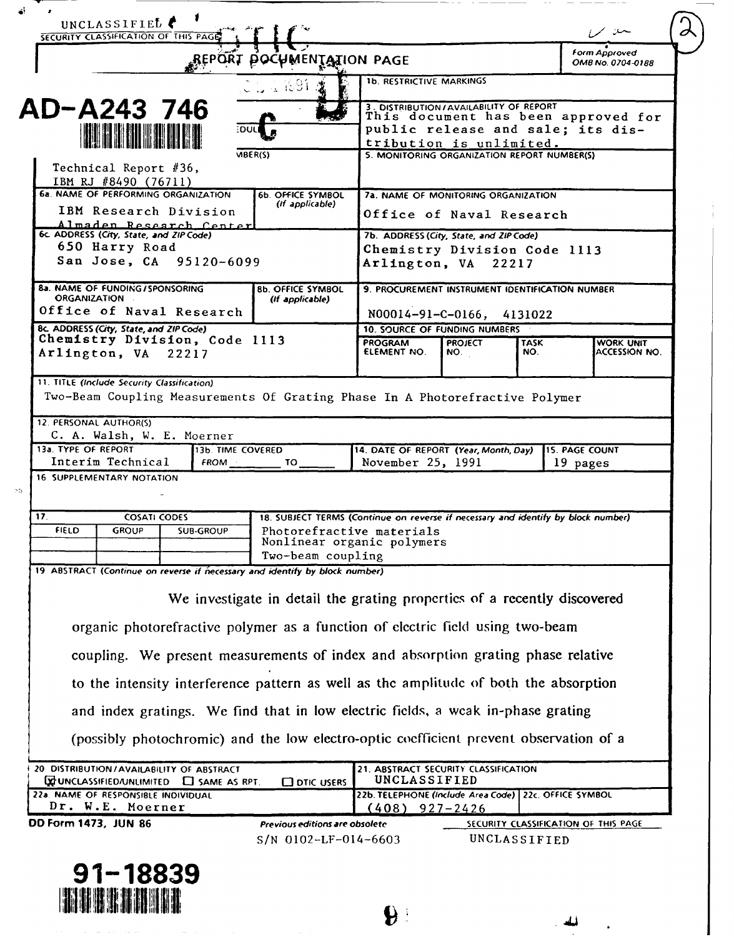| UNCLASSIFIED<br>SECURITY CLASSIFICATION OF THIS PAGE 1                                                                                                       |                                                                                   |                                                                                                                                               |                                             |                    | للعبند الممرا                        |  |
|--------------------------------------------------------------------------------------------------------------------------------------------------------------|-----------------------------------------------------------------------------------|-----------------------------------------------------------------------------------------------------------------------------------------------|---------------------------------------------|--------------------|--------------------------------------|--|
|                                                                                                                                                              | BELORI BOCAMENIYION PACE                                                          |                                                                                                                                               |                                             |                    |                                      |  |
|                                                                                                                                                              | الكائل واليال                                                                     | <b>1b. RESTRICTIVE MARKINGS</b>                                                                                                               |                                             |                    |                                      |  |
| AD-A243 746<br><b>TERMINER AND START</b>                                                                                                                     | ∃DUL                                                                              | 3. DISTRIBUTION/AVAILABILITY OF REPORT<br>This document has been approved for<br>public release and sale; its dis-<br>tribution is unlimited. |                                             |                    |                                      |  |
| Technical Report #36,<br>IBM RJ #8490 (76711)                                                                                                                | VIBER(S)                                                                          |                                                                                                                                               | 5. MONITORING ORGANIZATION REPORT NUMBER(S) |                    |                                      |  |
| <b>6a. NAME OF PERFORMING ORGANIZATION</b><br>IBM Research Division                                                                                          | <b>6b. OFFICE SYMBOL</b><br>(If applicable)                                       | 7a. NAME OF MONITORING ORGANIZATION<br>Office of Naval Research                                                                               |                                             |                    |                                      |  |
| Almaden Research Center<br>6c ADDRESS (City, State, and ZIP Code)<br>650 Harry Road                                                                          |                                                                                   | 7b. ADDRESS (City, State, and ZIP Code)<br>Chemistry Division Code 1113                                                                       |                                             |                    |                                      |  |
| San Jose, CA 95120-6099                                                                                                                                      |                                                                                   | Arlington, VA 22217                                                                                                                           |                                             |                    |                                      |  |
| <b>8a. NAME OF FUNDING/SPONSORING</b><br><b>ORGANIZATION</b><br>Office of Naval Research                                                                     | <b>8b. OFFICE SYMBOL</b><br>(If applicable)                                       | 9. PROCUREMENT INSTRUMENT IDENTIFICATION NUMBER<br>N00014-91-C-0166, 4131022                                                                  |                                             |                    |                                      |  |
| 8c. ADDRESS (City, State, and ZIP Code)                                                                                                                      |                                                                                   |                                                                                                                                               | <b>10. SOURCE OF FUNDING NUMBERS</b>        |                    |                                      |  |
| Chemistry Division, Code 1113<br>Arlington, VA 22217                                                                                                         |                                                                                   | <b>PROGRAM</b><br>ELEMENT NO.                                                                                                                 | <b>PROJECT</b><br>NO.                       | <b>TASK</b><br>NO. | WORK UNIT<br>ACCESSION NO.           |  |
| 11. TITLE (Include Security Classification)<br>Two-Beam Coupling Measurements Of Grating Phase In A Photorefractive Polymer<br><b>12. PERSONAL AUTHOR(S)</b> |                                                                                   |                                                                                                                                               |                                             |                    |                                      |  |
| C. A. Walsh, W. E. Moerner<br>13a. TYPE OF REPORT<br>14. DATE OF REPORT (Year, Month, Day)<br>13b. TIME COVERED                                              |                                                                                   |                                                                                                                                               |                                             |                    | <b>15. PAGE COUNT</b>                |  |
| Interim Technical<br><b>16. SUPPLEMENTARY NOTATION</b>                                                                                                       |                                                                                   | November 25, 1991                                                                                                                             |                                             |                    | 19 pages                             |  |
|                                                                                                                                                              |                                                                                   |                                                                                                                                               |                                             |                    |                                      |  |
| 17 <sub>1</sub><br><b>COSATI CODES</b>                                                                                                                       | 18. SUBJECT TERMS (Continue on reverse if necessary and identify by block number) |                                                                                                                                               |                                             |                    |                                      |  |
| <b>FIELD</b><br><b>GROUP</b><br><b>SUB-GROUP</b>                                                                                                             | Nonlinear organic polymers                                                        | Photorefractive materials                                                                                                                     |                                             |                    |                                      |  |
|                                                                                                                                                              | Two-beam coupling                                                                 |                                                                                                                                               |                                             |                    |                                      |  |
| 19 ABSTRACT (Continue on reverse if necessary and identify by block number)                                                                                  |                                                                                   |                                                                                                                                               |                                             |                    |                                      |  |
|                                                                                                                                                              | We investigate in detail the grating properties of a recently discovered          |                                                                                                                                               |                                             |                    |                                      |  |
| organic photorefractive polymer as a function of electric field using two-beam                                                                               |                                                                                   |                                                                                                                                               |                                             |                    |                                      |  |
| coupling. We present measurements of index and absorption grating phase relative                                                                             |                                                                                   |                                                                                                                                               |                                             |                    |                                      |  |
| to the intensity interference pattern as well as the amplitude of both the absorption                                                                        |                                                                                   |                                                                                                                                               |                                             |                    |                                      |  |
| and index gratings. We find that in low electric fields, a weak in-phase grating                                                                             |                                                                                   |                                                                                                                                               |                                             |                    |                                      |  |
| (possibly photochromic) and the low electro-optic coefficient prevent observation of a                                                                       |                                                                                   |                                                                                                                                               |                                             |                    |                                      |  |
| 20 DISTRIBUTION/AVAILABILITY OF ABSTRACT<br><b>DE UNCLASSIFIED /UNLIMITED C</b> SAME AS RPT.                                                                 | <b>COTIC USERS</b>                                                                | 21. ABSTRACT SECURITY CLASSIFICATION<br>UNCLASSIFIED                                                                                          |                                             |                    |                                      |  |
| 22a. NAME OF RESPONSIBLE INDIVIDUAL<br>Dr. W.E. Moerner                                                                                                      |                                                                                   | 22b. TELEPHONE (Include Area Code) 22c. OFFICE SYMBOL<br>$(408)$ 927-2426                                                                     |                                             |                    |                                      |  |
| DD Form 1473, JUN 86                                                                                                                                         | Previous editions are obsolete                                                    |                                                                                                                                               |                                             |                    | SECURITY CLASSIFICATION OF THIS PAGE |  |
|                                                                                                                                                              | $S/N$ 0102-LF-014-6603                                                            |                                                                                                                                               | UNCLASSIFIED                                |                    |                                      |  |

 $\mathbf{P}$ 

 $\sim$  44

 $\cdot$ 

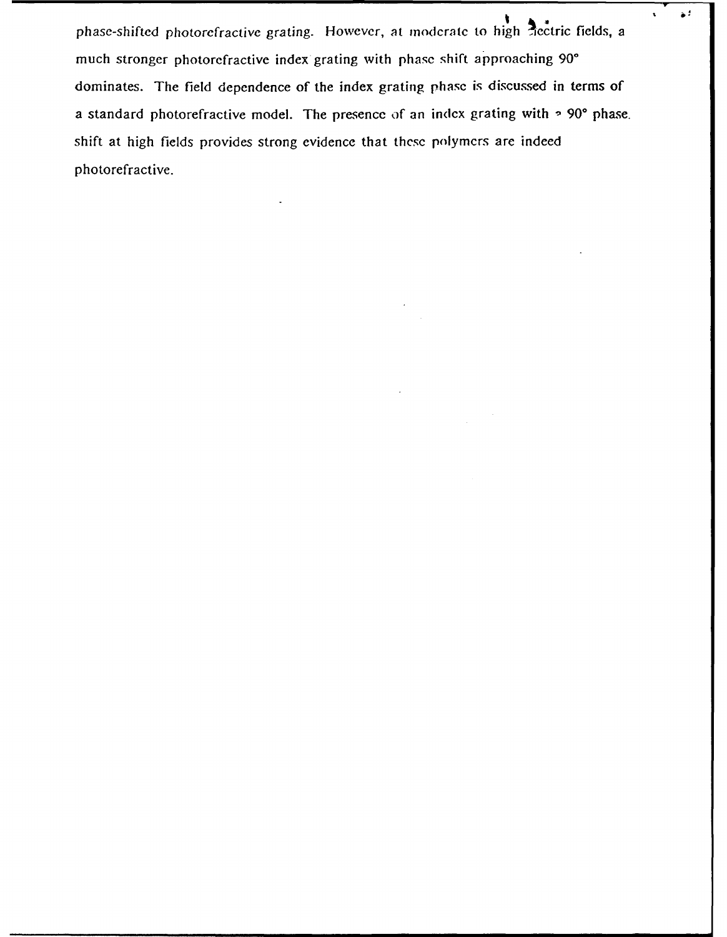phase-shifted photorefractive grating. However, at moderate to high tectric fields, a much stronger photorefractive index grating with phase shift approaching 90° dominates. The field dependence of the index grating phase is discussed in terms of a standard photorefractive model. The presence of an index grating with **- 90\*** phase. shift at high fields provides strong evidence that these polymers are indeed photorefractive.

 $\bullet^{\text{d}}$ 

 $\mathbf{r}$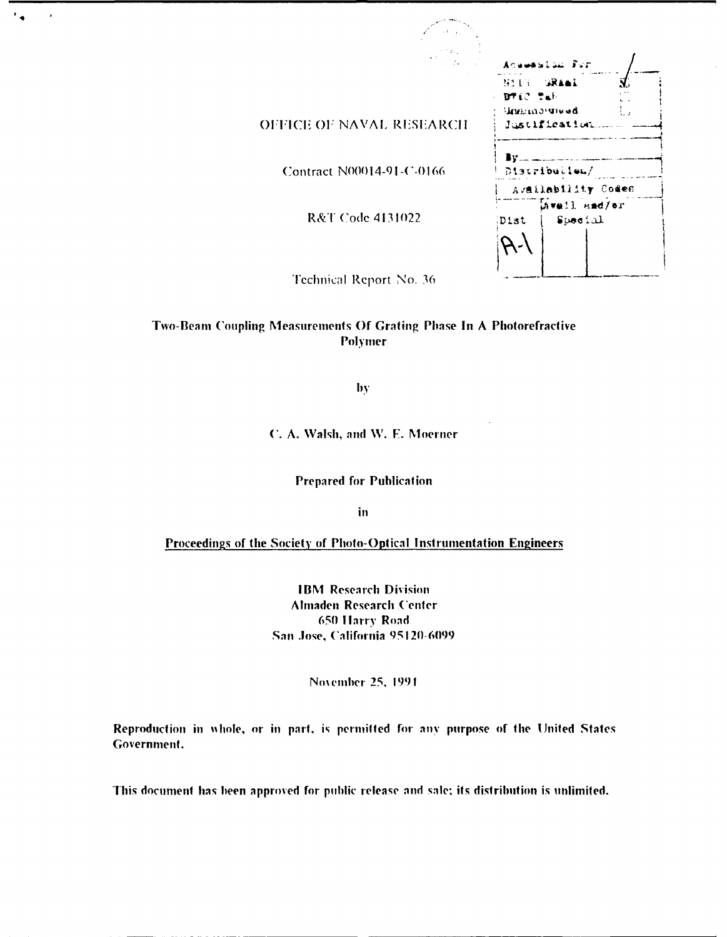|                                             |                                                               | Acuession For                               |  |  |
|---------------------------------------------|---------------------------------------------------------------|---------------------------------------------|--|--|
| OFFICE OF NAVAL RESEARCH                    | <b>BALC SAFE</b>                                              | NULS SRAAL<br>Заинсалчией.<br>Justification |  |  |
| Contract N00014-91-C-0166                   | Bv.<br><b>Continued and Continued States</b><br>Distribution/ |                                             |  |  |
|                                             | Availability Codes                                            |                                             |  |  |
| R&T Code 4131022                            | Dist                                                          | Mwail and/er<br>Special                     |  |  |
| 1970 - Louis College, Ann an Airport (1970) |                                                               |                                             |  |  |

Technical Report No. 36

 $^{\bullet}$  a

 $\overline{\phantom{a}}$ 

# Two-Bean Coupling Measurements **Of** Grating Phase **In A** Photorefractive Polymer

**by**

**C. A. Walsh, and W. E. Moerner** 

Prepared for Publication

**in**

Proceedings of the Society of Photo-Optical Instrumentation Engineers

**IBM** Research Division Almaden Research ('enter **650 flarry** Road **Sai** .lose, ('alifornia **95120-6099**

**Noemher 25,** 1991

Reproduction in whole, or in part, is permitted for any purpose of the United States Government.

This document **has** been approved for public release **and** sale; its distribution is unlimited.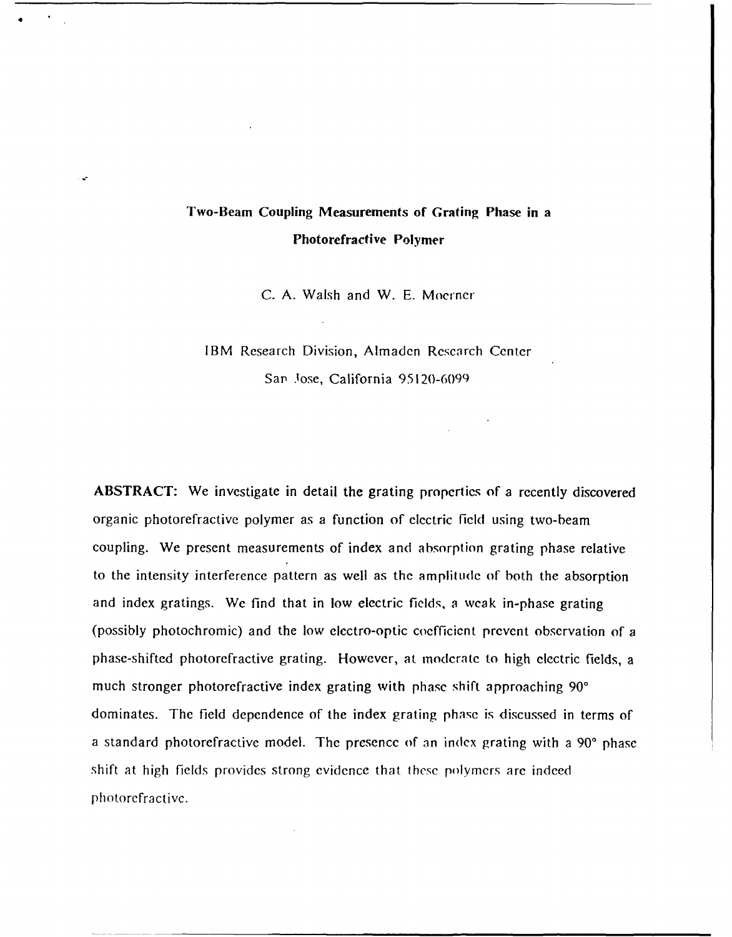# **Two-Beam Coupling Measurements of Grating Phase in a Photorefractive Polymer**

**C. A.** Walsh and W. E. Mocrner

# IBM Research Division, Almaden Rcscarch Center Sap Jose, California 95120-6099

**ABSTRACT:** We investigate in detail the grating properties of a recently discovered organic photorefractive polymer as a function of electric field using two-beam coupling. We present measurements of index and absorption grating phase relative to the intensity interference pattern as well as the amplitude of both the absorption and index gratings. We find that in low electric fields, a weak in-phase grating (possibly photochromic) and the low electro-optic coefficient prevent observation of a phase-shifted photorefractive grating. However, at moderate to high electric fields, a much stronger photorefractive index grating with phase shift approaching **90'** dominates. The field dependence of the index grating **phase** is discussed in terms of a standard photorefractive model. The presence of an index grating with a **900** phase shift at high fields provides strong evidence that these polymers are indeed photorefractive.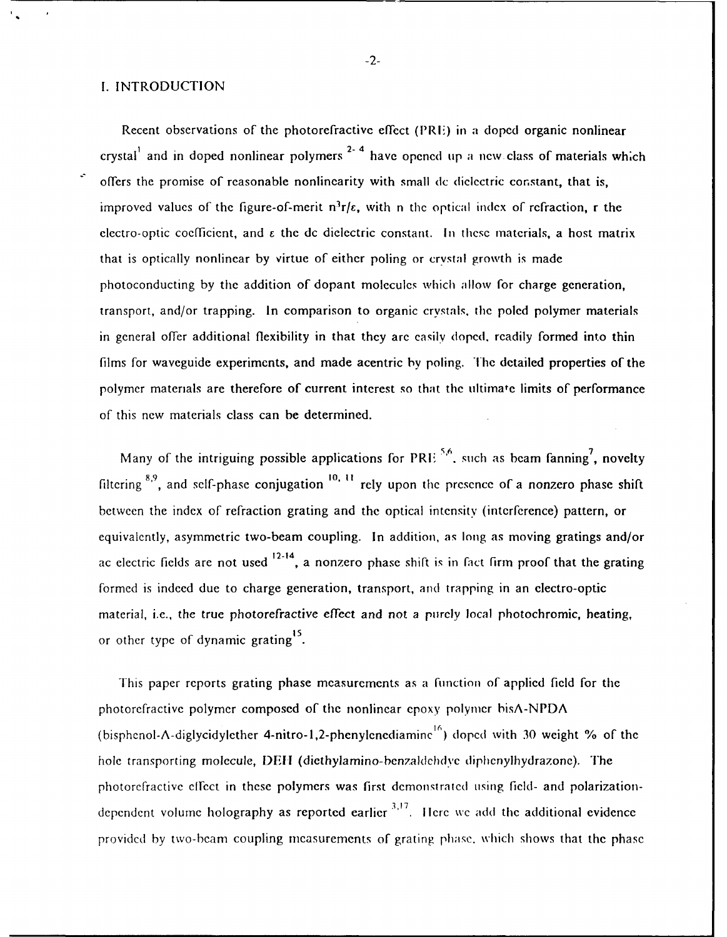# I. INTRODUCTION

Recent observations of the photorefractivc effect (PRIE) in a doped organic nonlinear crystal<sup>1</sup> and in doped nonlinear polymers<sup>2-4</sup> have opened up a new class of materials which offers the promise of reasonable nonlinearity with small dc dielectric constant, that is, improved values of the figure-of-merit  $n^3r/\epsilon$ , with n the optical index of refraction, r the electro-optic coefficient, and  $\varepsilon$  the dc dielectric constant. In these materials, a host matrix that is optically nonlinear by virtue of either poling or crystal growth is made photoconducting by the addition of dopant molecules which allow for charge generation, transport, and/or trapping. In comparison to organic crystals, the poled polymer materials in general offer additional flexibility in that they are easily doped, readily formed into thin films for waveguide experiments, and made acentric by poling. The detailed properties of the polymer materials are therefore of current interest so that the ultimate limits of performance of this new materials class can be determined.

Many of the intriguing possible applications for PRIE .<sup>5,6</sup> such as beam fanning<sup>7</sup>, novelty filtering **8.9,** and self-phase conjugation **1o. 1** rely upon the presence of a nonzero phase shift between the index of refraction grating and the optical intensity (interference) pattern, or equivalently, asymmetric two-beam coupling. In addition, as long as moving gratings and/or ac electric fields are not used  $12-14$ , a nonzero phase shift is in fact firm proof that the grating formed is indeed due to charge generation, transport, and trapping in an electro-optic material, i.e., the true photorefractive effect and not a purely local photochromic, heating, or other type of dynamic grating<sup>15</sup>.

This paper reports grating phase measurements as a function of applied field for the photorefractive polymer composed of the nonlinear epoxy polymer bisA-NPDA (bisphenol-A-diglycidylether 4-nitro-1,2-phenylenediamine<sup>16</sup>) doped with 30 weight % of the hole transporting molecule, **1)Eil** (diethylamino-benzaldchdye diphenylhydrazone). The photorefractive effect in these polymers was first demonstrated using field- and polarizationdependent volume holography as reported earlier  $3,17$ . Here we add the additional evidence providcd by two-beam coupling measurements of grating phasc. which shows that the phase

-2-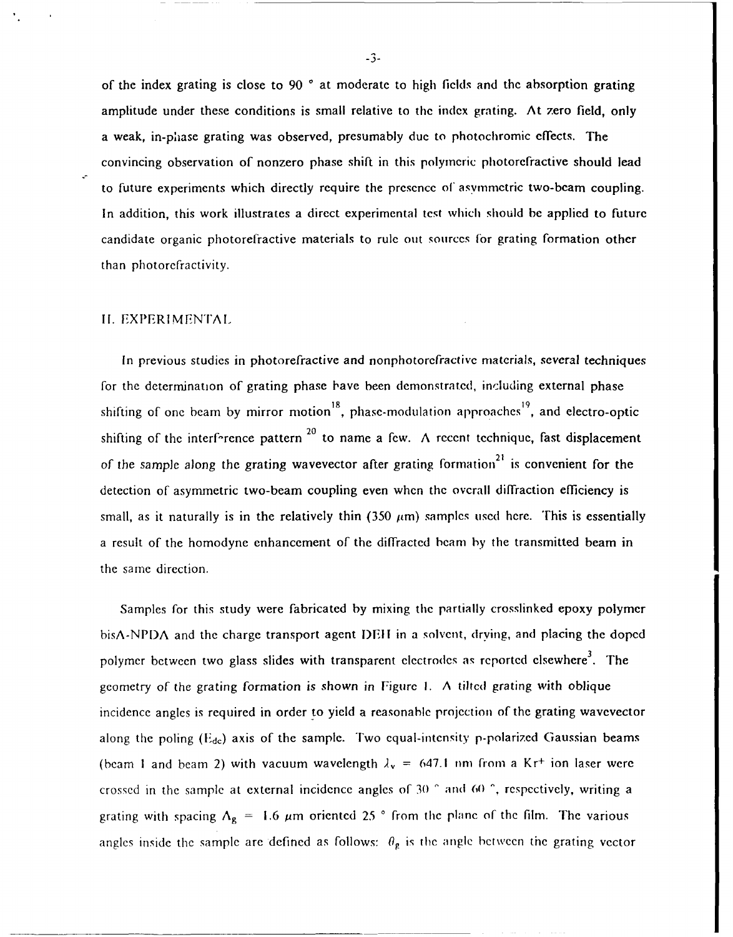of the index grating is close to 90 **\*** at moderate to high fields and the absorption grating amplitude under these conditions is small relative to the index grating. At zero field, only a weak, in-phase grating was observed, presumably due to photochromic effects. The convincing observation of nonzero phase shift in this polymeric photorefractive should lead to future experiments which directly require the presence of asymmetric two-beam coupling. In addition, this work illustrates a direct experimental test which should be applied to future candidate organic photorefractive materials to rule out sources for grating formation other than photorefractivity.

#### **11.** EXPERIMFNTAI

In previous studies in photorefractive and nonphotorefractive materials, several techniques for the determination of grating phase have been demonstrated, including external phase shifting of one beam by mirror motion **<sup>8</sup>,** phase-modulation approaches **<sup>9</sup> ,** and electro-optic shifting of the interf-rence pattern  $^{20}$  to name a few. A recent technique, fast displacement of the sample along the grating wavevector after grating formation<sup>21</sup> is convenient for the detection of asymmetric two-beam coupling even when the overall diffraction efficiency is small, as it naturally is in the relatively thin (350  $\mu$ m) samples used here. This is essentially a result of the homodyne enhancement of the diffracted beam by the transmitted beam in the same direction.

Samples for this study were fabricated by mixing the partially crosslinked epoxy polymer  $b$ isA-NPDA and the charge transport agent DEH in a solvent, drying, and placing the doped polymer between two glass slides with transparent electrodes as reported elsewhere<sup>3</sup>. The geometry of the grating formation is shown in Figure 1. A tilted grating with oblique incidence angles is required in order to yield a reasonable projection of the grating wavevector along the poling  $(E_{dc})$  axis of the sample. Two equal-intensity p-polarized Gaussian beams (beam 1 and beam 2) with vacuum wavelength  $\lambda_v = 647.1$  nm from a Kr<sup>+</sup> ion laser were crossed in the sample at external incidence angles of 30 **'** and 60 **^,** respectively, writing a grating with spacing  $\Lambda_g = 1.6 \mu m$  oriented 25 ° from the plane of the film. The various angles inside the sample are defined as follows:  $\theta_{\rm g}$  is the angle between the grating vector

**-3-**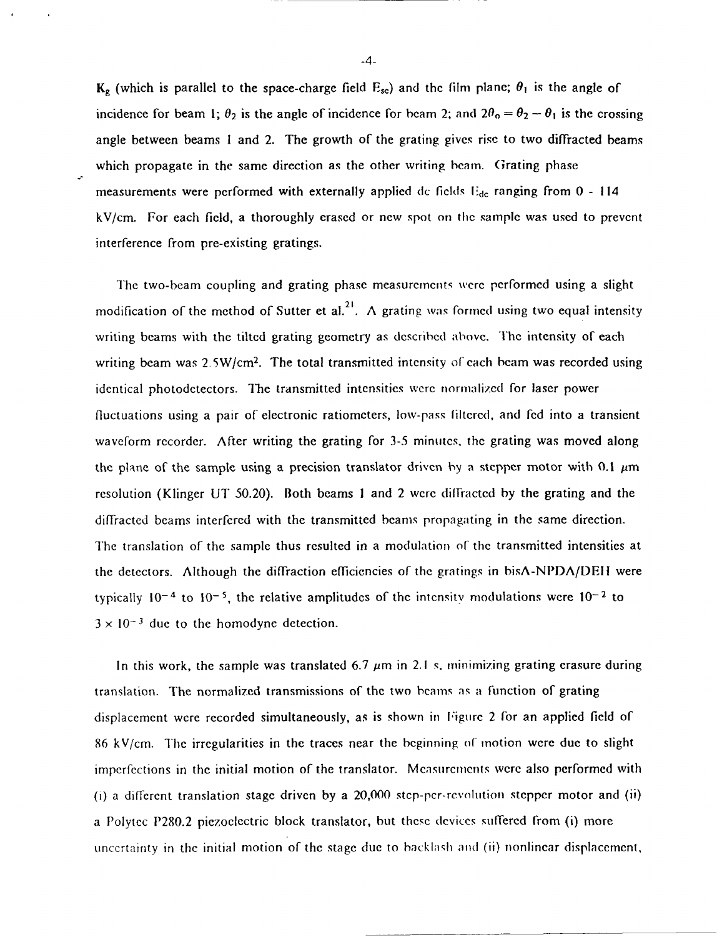$K_g$  (which is parallel to the space-charge field  $E_{sc}$ ) and the film plane;  $\theta_1$  is the angle of incidence for beam 1;  $\theta_2$  is the angle of incidence for beam 2; and  $2\theta_0 = \theta_2 - \theta_1$  is the crossing angle between beams **I** and 2. The growth of the grating gives rise to two diffracted beams which propagate in the same direction as the other writing beam. Grating phase measurements were performed with externally applied dc fields **I'dc** ranging from 0 **-** <sup>114</sup> kV/cm. For each field, a thoroughly erased or new spot on the sample was used to prevent interference from pre-existing gratings.

The two-beam coupling and grating phase measuremcnts wcre performed using a slight modification of the method of Sutter et al.<sup>21</sup>. A grating was formed using two equal intensity writing beams with the tilted grating geometry as described above. The intensity of each writing beam was  $2.5W/cm<sup>2</sup>$ . The total transmitted intensity of each beam was recorded using identical photodetectors. The transmitted intensities were normalized for laser power fluctuations using a pair of electronic ratiometers, low-pass liltered, and fed into a transient waveform recorder. After writing the grating for **3-5** minutes, the grating was moved along the plane of the sample using a precision translator driven by a stepper motor with  $0.1 \mu m$ resolution (Klinger UT 50.20). Both beams I and 2 were diffractcd by the grating and the diffracted beams interfered with the transmitted beams propagating in the same direction. The translation of the sample thus resulted in a modulation of the transmitted intensities at the detectors. Although the diffraction efficiencies of the gratings in bisA-NPDA/DEIl were typically  $10^{-4}$  to  $10^{-5}$ , the relative amplitudes of the intensity modulations were  $10^{-2}$  to  $3 \times 10^{-3}$  due to the homodyne detection.

In this work, the sample was translated 6.7  $\mu$ m in 2.1 s. minimizing grating erasure during translation. The normalized transmissions of the two beams as a function of grating displacement were recorded simultaneously, as is shown in Figure 2 for an applied **field** of **86** kV/cm. The irregularities in the traces near the beginning of motion were due to slight imperfections in the initial motion of the translator. Measurements were also performed with (i) a different translation stage driven by a 20,000 step-per-revolution stepper motor and (ii) a Polytec **11280.2** piezoelectric block translator, but these devices suffered from **(i)** more uncertainty in the initial motion of the stage due to backlash and (ii) nonlinear displacement,

-4-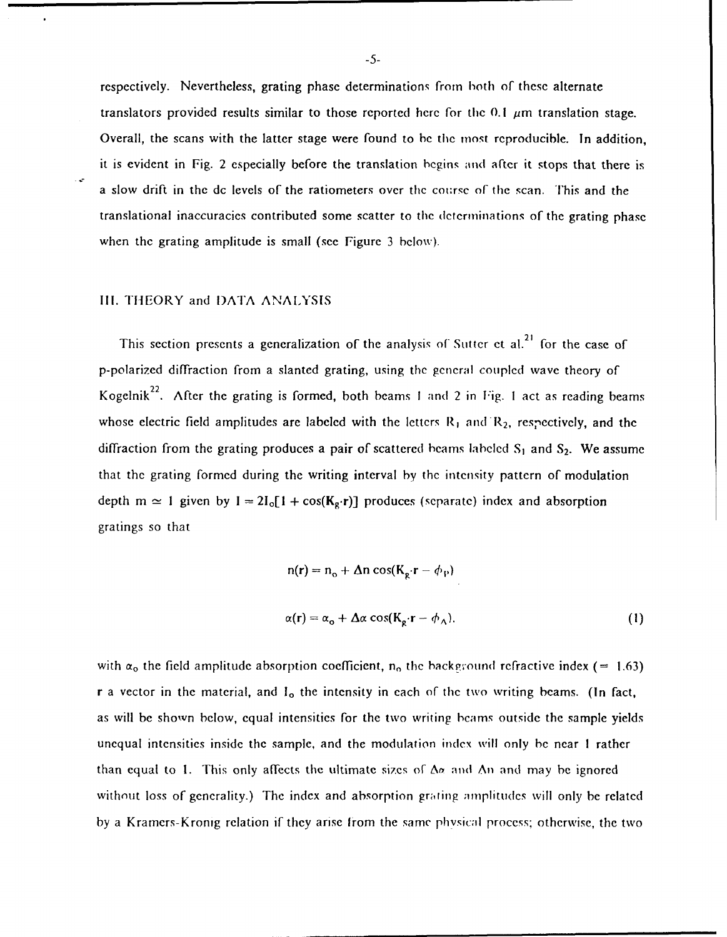respectively. Nevertheless, grating phase determinations from both of these alternate translators provided results similar to those reported here for the  $0.1 \mu m$  translation stage. Overall, the scans with the latter stage were found to be the most reproducible. In addition, it is evident in Fig. 2 especially before the translation begins and after it stops that there is a slow drift in the de levels of the ratiometers over the course of the scan. This and the translational inaccuracies contributed some scatter to the determinations of the grating phase when the grating amplitude is small (see Figure 3 below).

### Ill. THEORY and I)ATA ANALYSIS

This section presents a generalization of the analysis of Sutter et al.<sup>21</sup> for the case of p-polarized diffraction from a slanted grating, using the gcneral coupled wave theory of Kogelnik<sup>22</sup>. After the grating is formed, both beams 1 and 2 in Fig. 1 act as reading beams whose electric field amplitudes are labeled with the letters  $R_1$  and  $R_2$ , respectively, and the diffraction from the grating produces a pair of scattered beams labeled S<sub>1</sub> and S<sub>2</sub>. We assume that the grating formed during the writing interval by the intensity pattern of modulation depth m  $\simeq$  1 given by I = 2I<sub>o</sub>[1 + cos( $K_g \cdot r$ )] produces (separate) index and absorption gratings so that

$$
n(r) = n_o + \Delta n \cos(K_g \cdot r - \phi_p)
$$
  

$$
\alpha(r) = \alpha_o + \Delta \alpha \cos(K_g \cdot r - \phi_\Lambda).
$$
 (1)

with  $\alpha_0$  the field amplitude absorption coefficient, n<sub>o</sub> the background refractive index (= 1.63) r a vector in the material, and I<sub>o</sub> the intensity in each of the two writing beams. (In fact, as will be shown below, equal intensities for the two writing bcams outside the sample yields unequal intensities inside the sample, and the modulation index will only be near **I** rather than equal to 1. This only affects the ultimate sizes of  $\Delta \alpha$  and  $\Delta n$  and may be ignored without loss of generality.) The index and absorption grating amplitudes will only be related by a Kramers-Kronig relation if they arise from the same physical process; otherwise, the two

-5-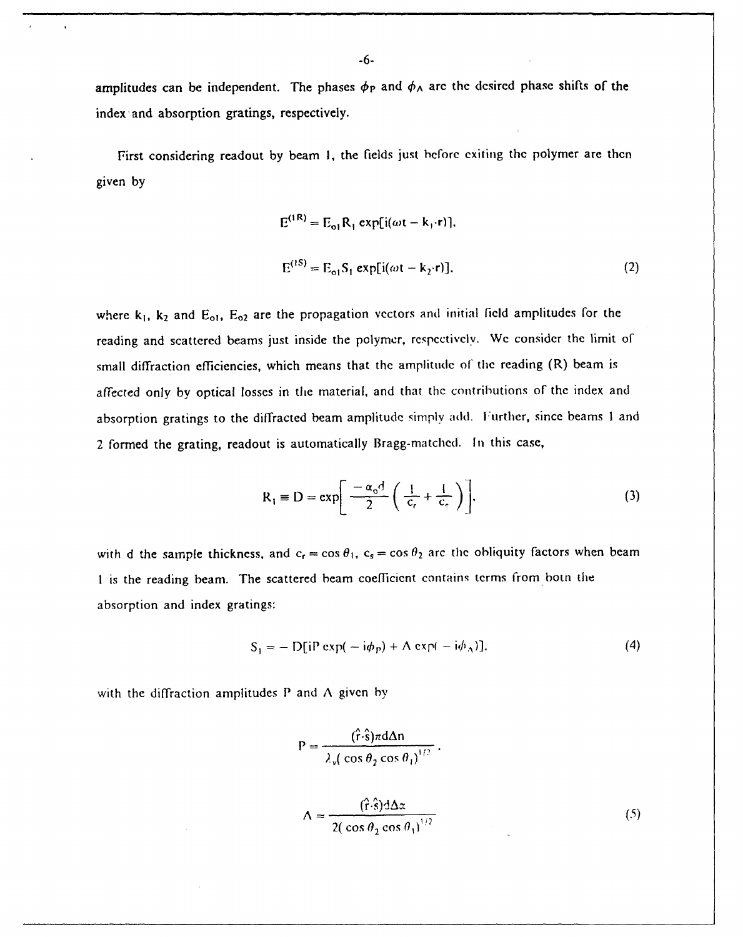amplitudes can be independent. The phases  $\phi_P$  and  $\phi_A$  are the desired phase shifts of the index and absorption gratings, respectively.

First considering readout by beam I, the fields just before exiting the polymer are then given by

$$
E^{(1R)} = E_{o1}R_1 \exp[i(\omega t - k_1 \cdot r)],
$$
  
\n
$$
E^{(1S)} = E_{o1}S_1 \exp[i(\omega t - k_2 \cdot r)],
$$
\n(2)

where  $k_1$ ,  $k_2$  and  $E_{o1}$ ,  $E_{o2}$  are the propagation vectors and initial field amplitudes for the reading and scattered beams just inside the polymer, rcspectively. We consider the limit of small diffraction efficiencies, which means that the amplitude of the reading (R) beam is affected only by optical losses in the material, and that the contributions of the index and absorption gratings to the diffracted beam amplitude simply add. Further, since beams 1 and 2 formed the grating, readout is automatically Bragg-matched. In this case,

$$
R_1 \equiv D = \exp\left[\frac{-\alpha_o d}{2} \left(\frac{1}{c_r} + \frac{1}{c_c}\right)\right].
$$
 (3)

with d the sample thickness, and  $c_r = \cos \theta_1$ ,  $c_s = \cos \theta_2$  arc the obliquity factors when beam **I** is the reading beam. The scattered beam coefficient contains terms from both the absorption and index gratings:

$$
S_1 = -\mathop{\rm D}\nolimits[\mathop{\rm i}\nolimits P \exp(-\mathop{\rm i}\nolimits \phi_P) + \mathop{\rm A}\nolimits \exp(-\mathop{\rm i}\nolimits \phi_\Lambda)].\tag{4}
$$

with the diffraction amplitudes  $P$  and  $\Lambda$  given by

$$
P = \frac{(\hat{r} \cdot \hat{s}) \pi d \Delta n}{\lambda \sqrt{\cos \theta_2 \cos \theta_1}^{1/2}}.
$$
  

$$
\Delta = \frac{(\hat{r} \cdot \hat{s}) d \Delta x}{2(\cos \theta_2 \cos \theta_1)^{1/2}}
$$
 (5)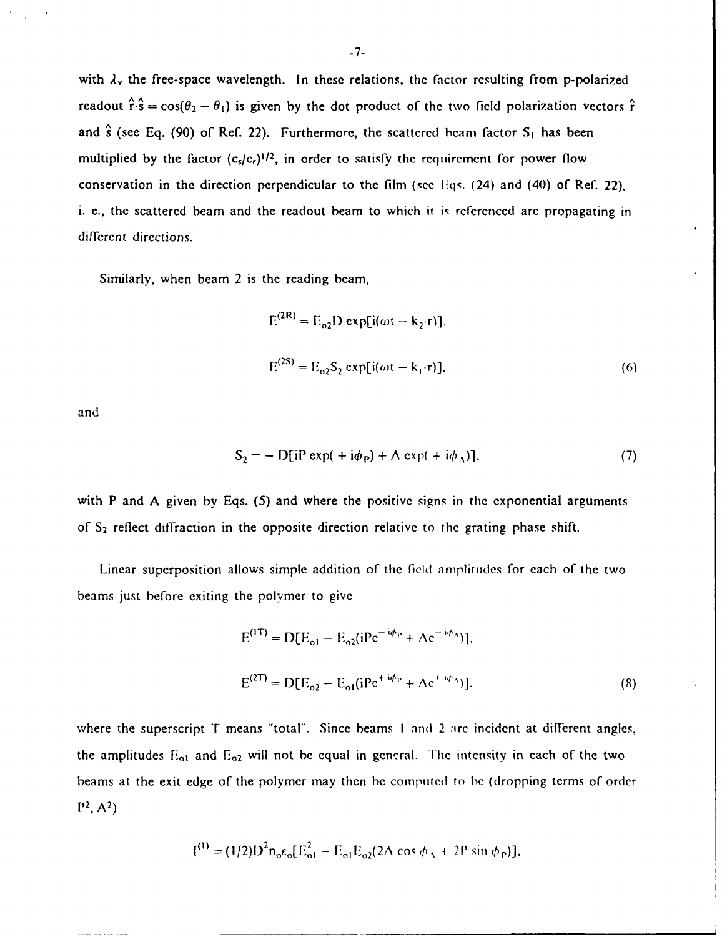with  $\lambda_v$  the free-space wavelength. In these relations, the factor resulting from p-polarized readout  $\hat{r} \cdot \hat{s} = \cos(\theta_2 - \theta_1)$  is given by the dot product of the two field polarization vectors  $\hat{r}$ and **s** (see Eq. (90) of Ref. 22). Furthermore, the scattered beam factor **S,** has been multiplied by the factor  $(c_s/c_t)^{1/2}$ , in order to satisfy the requirement for power flow conservation in the direction perpendicular to the film (see Eqs. (24) and (40) of Ref. 22), i. **e.,** the scattered beam and the readout beam to which it **is** referenced arc propagating in different directions.

Similarly, when beam 2 is the reading beam,

$$
E^{(2R)} = E_{02}D \exp[i(\omega t - k_2 \cdot r)].
$$
  
\n
$$
E^{(2S)} = E_{02}S_2 \exp[i(\omega t - k_1 \cdot r)].
$$
\n(6)

and

$$
S_2 = -\mathrm{D}[\mathrm{i} \mathrm{P} \exp(+\mathrm{i} \phi_{\mathrm{P}}) + \mathrm{A} \exp(+\mathrm{i} \phi_{\mathrm{A}})],\tag{7}
$$

with P and **A** given by Eqs. *(5)* and where the positive signs in the exponential arguments of **S2** reflect diffraction in the opposite direction relative to the grating phase shift.

Linear superposition allows simple addition of the field aniplitudes for each of the two beams just before exiting the polymer to give

$$
E^{(1T)} = D[E_{o1} - E_{o2}(iPe^{-i\phi_{P}} + \Lambda e^{-i\phi_{A}})],
$$
  
\n
$$
E^{(2T)} = D[E_{o2} - E_{o1}(iPe^{+i\phi_{P}} + \Lambda e^{+i\phi_{A}})].
$$
\n(8)

where the superscript  $T$  means "total". Since beams 1 and 2 arc incident at different angles, the amplitudes  $E_{01}$  and  $E_{02}$  will not be equal in general. The intensity in each of the two beams at the exit edge of the polymer may then be complluted **to** he (dropping terms of order  $P^2, A^2$ 

$$
I^{(1)} = (1/2)D^{2}n_{0}\varepsilon_{0}[E_{01}^{2} - E_{01}E_{02}(2\Lambda \cos \phi_{A} + 2P \sin \phi_{P})],
$$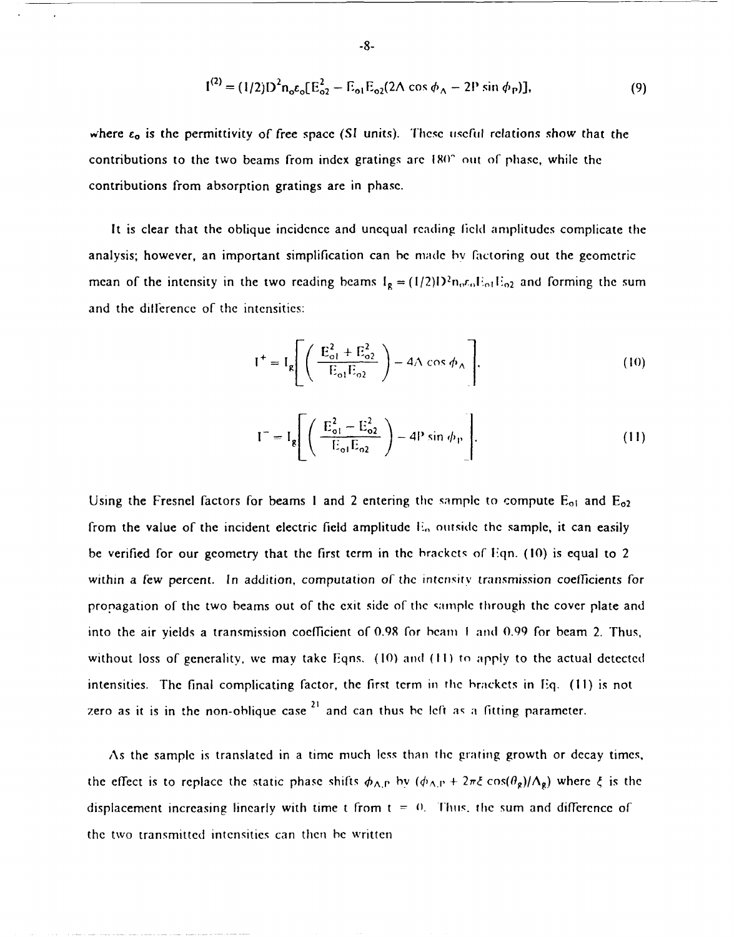$$
1^{(2)} = (1/2)D^{2}n_{o}\varepsilon_{o}[E_{o2}^{2} - E_{o1}E_{o2}(2\Lambda \cos \phi_{\Lambda} - 2P \sin \phi_{P})],
$$
\n(9)

where  $\epsilon_0$  is the permittivity of free space (SI units). These useful relations show that the contributions to the two beams from **index** gratings arc **1X(0'** out of phase, while the contributions from absorption gratings are in phase.

It is clear that the oblique incidence and unequal reading **field** amplitudes complicate the analysis; however, an important simplification can **be** made by factoring out the geometric mean of the intensity in the two reading beams  $I_g = (1/2)D^2 n_0 r_0 E_0 E_0 Z$  and forming the sum and the diflerence of the intensities:

$$
I^{+} = I_{g} \left[ \left( \frac{E_{o1}^{2} + E_{o2}^{2}}{E_{o1}E_{o2}} \right) - 4\Lambda \cos \phi_{\Lambda} \right].
$$
 (10)

$$
I^{-} = I_{g} \left[ \left( \frac{E_{o1}^{2} - E_{o2}^{2}}{E_{o1}E_{o2}} \right) - 4P \sin \phi_{P} \right].
$$
 (11)

Using the Fresnel factors for beams 1 and 2 entering the sample to compute E<sub>01</sub> and E<sub>02</sub> from the value of the incident electric field amplitude **I,,** outside the sample, it can easily be verified for our geometry that the first term in the brackets of  $Eqn. (10)$  is equal to 2 within a few percent. In addition, computation of the intensity transmission coefficients for propagation of the two beams out of the exit side of the sample through the cover plate and into the air yields a transmission coefficient of 0.98 for beam I and 0.99 for beam 2. Thus, without loss of generality, we may take Eqns. **(10)** and **(II)** to apply to the actual detected intensities. The final complicating factor, the first term in the brackets in Eq. (11) is not zero as it is in the non-oblique case<sup>21</sup> and can thus be left as a fitting parameter.

As the sample is translated in a time much less than the grating growth or decay times, the effect is to replace the static phase shifts  $\phi_{A,P}$  by  $(\phi_{A,P} + 2\pi\xi \cos(\theta_g)/\Lambda_g)$  where  $\xi$  is the displacement increasing linearly with time t from  $t = 0$ . Thus, the sum and difference of the two transmitted intensities can then be written

$$
\overline{.8}.
$$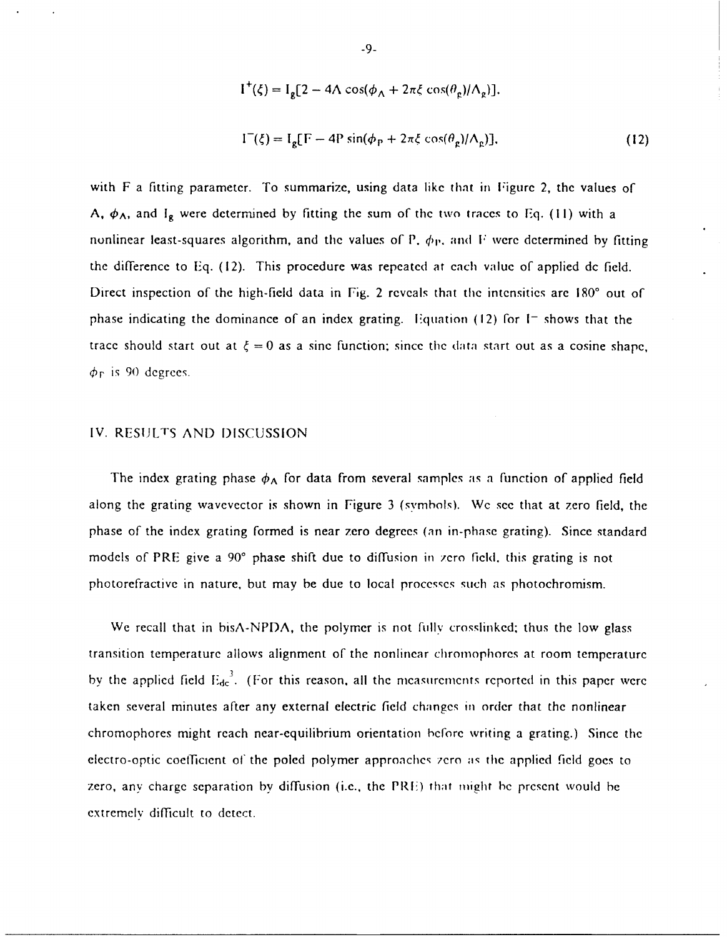$$
I^{+}(\xi) = I_{g}[2 - 4\Lambda \cos(\phi_{\Lambda} + 2\pi\xi \cos(\theta_{g})/\Lambda_{g})],
$$
  
\n
$$
I^{-}(\xi) = I_{g}[F - 4P \sin(\phi_{P} + 2\pi\xi \cos(\theta_{g})/\Lambda_{g})].
$$
\n(12)

with F a fitting parameter. To summarize, using data like that in Figurc 2, the values of A,  $\phi_{\Lambda}$ , and I<sub>g</sub> were determined by fitting the sum of the two traces to Eq. (11) with a nonlinear least-squares algorithm, and the values of P,  $\phi_{\rm P}$ , and F were determined by fitting the difference to **Eq.** (12). This procedure was repeated at cach value of applied dc field. Direct inspection of the high-field data in Fig. 2 reveals that the intensities are 180° out of phase indicating the dominance of an index grating. iquation (12) for **I-** shows that the trace should start out at  $\xi = 0$  as a sine function; since the data start out as a cosine shape,  $\phi_F$  is 90 degrees.

## IV. RESULTS AND DISCUSSION

The index grating phase  $\phi_A$  for data from several samples as a function of applied field along the grating wavevector is shown in Figure 3 (symbols). We see that at zero field, the phase of the index grating formed is near zero degrees (an in-phase grating). Since standard models of PRE give a 90° phase shift due to diffusion in zero field, this grating is not photorefractive in nature, but may be due to local processes such as photochromism.

We recall that in bisA-NPDA, the polymer is not fully crosslinked; thus the low glass transition temperature allows alignment of the nonlinear chromophores at room temperature by the applied field  $E_{dc}^{3}$ . (For this reason, all the measurements reported in this paper were taken several minutes after any external electric field changes in order that the nonlinear chromophores might reach near-equilibrium orientation before writing a grating.) Since the electro-optic coefficient of the poled polymer approaches zero as the applied field goes to zero, any charge separation by diffusion (i.e., the PRFI) that might **be** present would **he** extremely difficult to detect.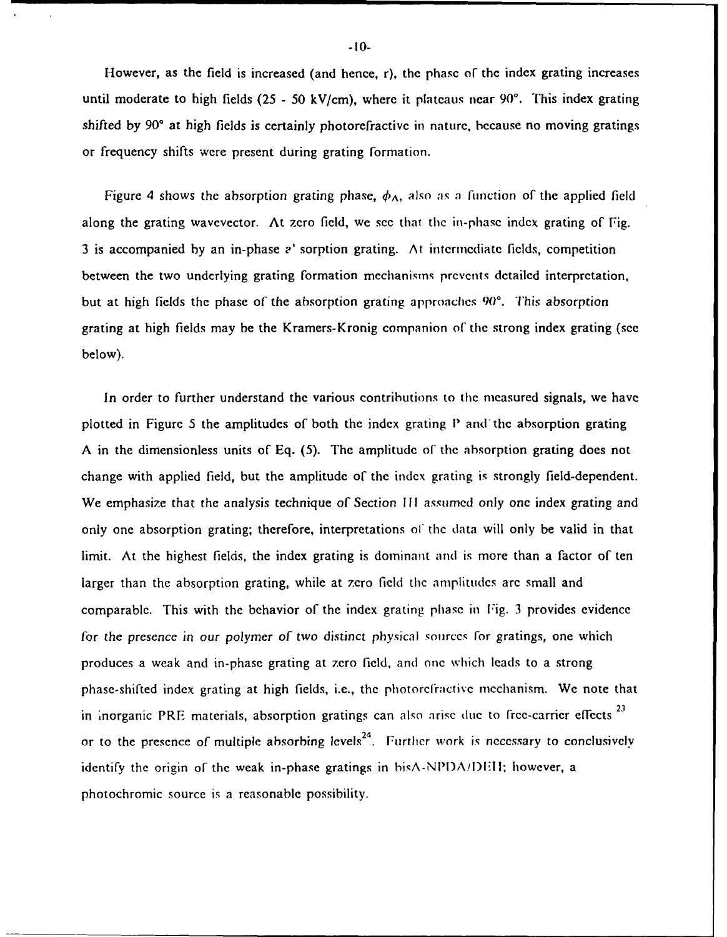However, as the field is increased (and hence, r), the phase of the index grating increases until moderate to high fields (25 - **50** kV/cm), where it plateaus near 90'. This index grating shifted by **90'** at high fields is certainly photorefractive in nature, because no moving gratings or frequency shifts were present during grating formation.

Figure 4 shows the absorption grating phase,  $\phi_A$ , also as a function of the applied field along the grating wavevector. At zero field, we see that the in-phasc index grating of Fig. 3 is accompanied by an in-phase ? sorption grating. At intermediate fields, competition between the two underlying grating formation mechanisms prevents detailed interpretation, but at high fields the phase of the absorption grating approaches **90'.** This absorption grating at high fields may be the Kramers-Kronig companion of the strong index grating (see below).

In order to further understand the various contributions to the measured signals, we have plotted in Figure 5 the amplitudes of both the index grating P and the absorption grating A in the dimensionless units of Eq. (5). The amplitude of the absorption grating does not change with applied field, but the amplitude of the index grating is strongly field-dependent. We emphasize that the analysis technique of Section **III** assumed only one index grating and only one absorption grating; therefore, interpretations of the data will only be valid in that limit. At the highest fields, the index grating is dominant and is more than a factor of ten larger than the absorption grating, while at zero field the amplitudes are small and comparable. This with the behavior of the index grating phase in Fig. 3 provides evidence for the *presence in our* polymer of two distinct physical sourccs for gratings, one which produces a weak and in-phase grating at zero field, and one which leads to a strong phase-shifted index grating at high fields, i.e., the photorefractivc mechanism. We note that in inorganic PRE materials, absorption gratings can also arise due to free-carrier effects **<sup>23</sup>** or to the presence of multiple absorbing levels<sup>24</sup>. Further work is necessary to conclusively identify the origin of the weak in-phase gratings in  $b$ is $\Lambda$ -NPD $\Lambda$ /DEII; however, a photochromic source is a reasonable possibility.

-10-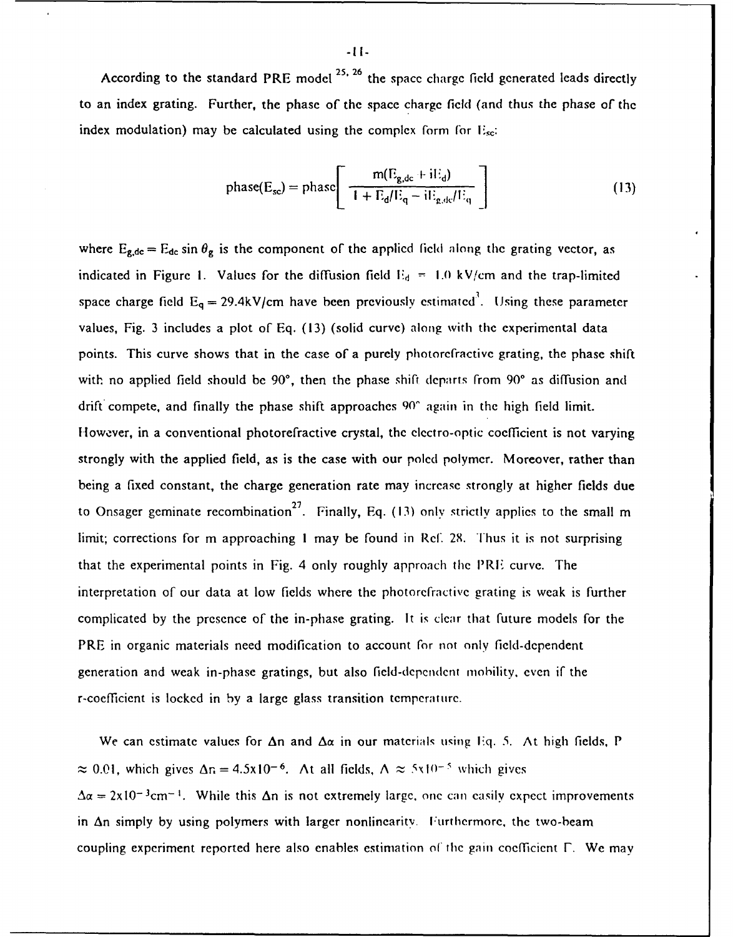According to the standard PRE model **25.26** the space charge field generated leads directly to an index grating. Further, the phase of the space charge **field** (and thus the phase of the index modulation) may be calculated using the complex form for  $E_{\rm sc}$ :

$$
\text{phase}(E_{\text{sc}}) = \text{phase}\left[\begin{array}{c} m(E_{\text{g,dc}} + iE_{\text{d}}) \\ \hline 1 + E_{\text{d}}/E_{\text{q}} - iE_{\text{g,dc}}/E_{\text{q}} \end{array}\right]
$$
(13)

where  $E_{g,dc} = E_{dc} \sin \theta_g$  is the component of the applied field along the grating vector, as indicated in Figure 1. Values for the diffusion field  $E_d = 1.0 \text{ kV/cm}$  and the trap-limited space charge field  $E_q = 29.4$ kV/cm have been previously estimated<sup>3</sup>. Using these parameter values, **Fig. 3** includes a plot of **Eq. (13)** (solid curve) along with the experimental data points. This curve shows that in the case of a purely photorefractive grating, the phase shift with no applied field should be 90°, then the phase shift departs from 90° as diffusion and drift compete, and finally the phase shift approaches **90^** again in the high field limit. However, in a conventional photorefractive crystal, the electro-optic coefficient is not varying strongly with the applied **field,** as is the case with our poled polymer. Moreover, rather than being a fixed constant, the charge generation rate may increase strongly at higher fields due to Onsager geminate recombination<sup>27</sup>. Finally, Eq. (13) only strictly applies to the small m limit; corrections for m approaching 1 may be found in Ref. 28. Thus it is not surprising that the experimental points in Fig. 4 only roughly approach tie **I'RF** curve. The interpretation of our data at low fields where the photorefractive grating is weak is further complicated **by** the presence of the in-phase grating. It is clear that future models for the PRE in organic materials need modification to account for not only field-dependent generation and weak in-phase gratings, but also field-dependent mobility, even **if** the r-coefficient is locked in **by** a large glass transition temperature.

We can estimate values for  $\Delta n$  and  $\Delta \alpha$  in our materials using Eq. 5. At high fields, P  $\approx 0.01$ , which gives  $\Delta n = 4.5x10^{-6}$ . At all fields,  $\Delta \approx 5x10^{-5}$  which gives  $\Delta \alpha = 2x10^{-3}$  cm<sup>-1</sup>. While this  $\Delta n$  is not extremely large, one can easily expect improvements in  $\Delta n$  simply by using polymers with larger nonlinearity. Furthermore, the two-beam coupling experiment reported here also enables estimation of the gain coefficient  $\Gamma$ . We may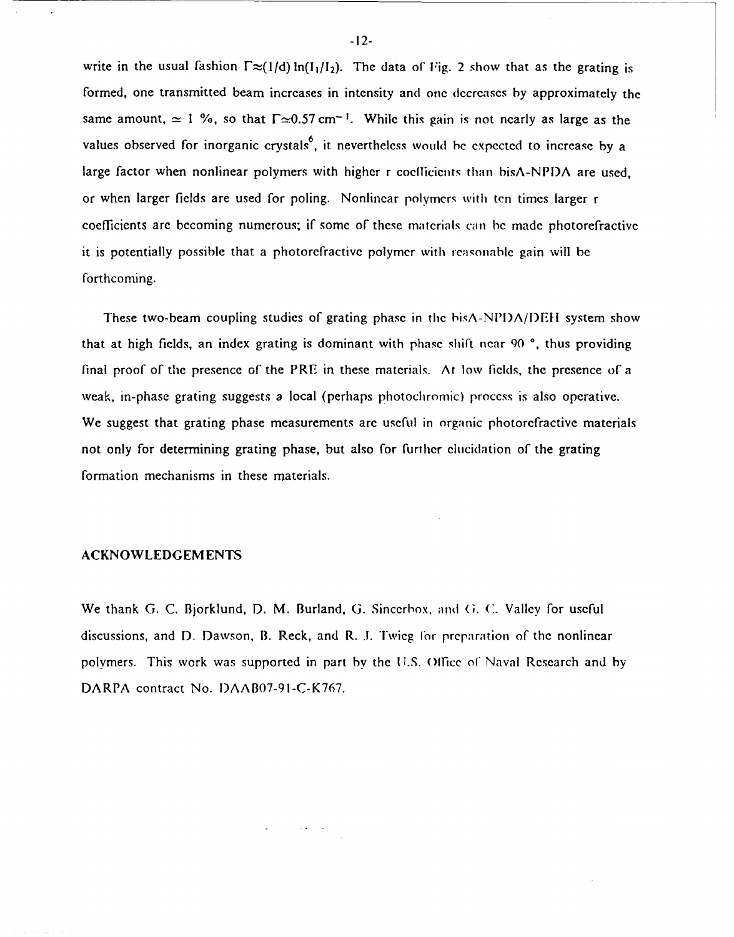write in the usual fashion  $\Gamma \approx (1/d) \ln(I_1/I_2)$ . The data of Fig. 2 show that as the grating is formed, one transmitted beam increases in intensity and one decreases by approximately the same amount,  $\simeq 1\%$ , so that  $\Gamma \simeq 0.57$  cm<sup>-1</sup>. While this gain is not nearly as large as the values observed for inorganic crystals<sup>6</sup>, it nevertheless would be expected to increase by a large factor when nonlinear polymers with higher r coclficients than bisA-NPI)A are used, or when larger fields are used for poling. Nonlinear polymers with ten times larger r coefficients are becoming numerous; if some of these matcrials can be made photorefractive it is potentially possible that a photorefractive polymcr with reasonable gain will be forthcoming.

These two-beam coupling studies of grating phase in the bisA-NPI)A/I)EI system show that at high fields, an index grating is dominant with phase shift near 90<sup>o</sup>, thus providing final proof of the presence of the PRE in these materials. At low fields, the presence of a weak, in-phase grating suggests a local (perhaps photochromic) process is also operative. We suggest that grating phase measurements are useful in organic photorefractive materials not only for determining grating phase, but also for further elucidation of the grating formation mechanisms in these materials.

## ACKNOWLEDGEMENTS

We thank G. C. Bjorklund, D. M. Burland, **G.** Sincerhox. and **(G. C.** Valley for useful discussions, and **1).** Dawson, B. Reck, and R. I. Twieg *'or* preparation of the nonlinear polymers. This work was supported in part by the U.S. 0(fice of Naval Research and by DARPA contract No. I)AABO7-91-C-K767.

-12-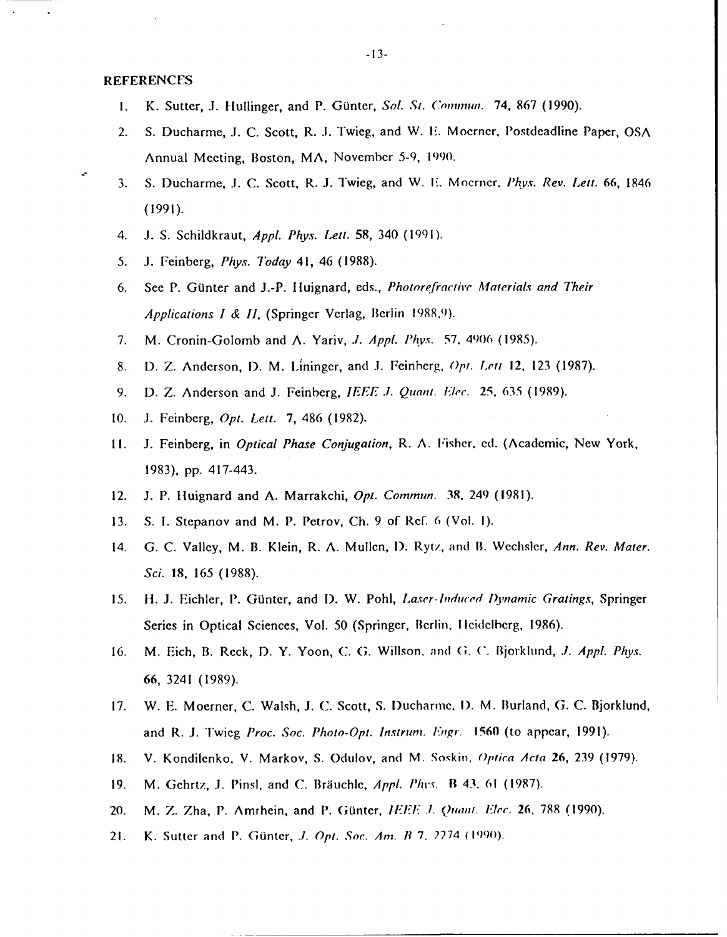### REFERENCES

- **1.** K. Sutter, **.1.** 1lullinger, and P. Gunter, Sol. *St. Cominunl.* 74, **867 (1990).**
- 2. **S.** Ducharme, **.1. C.** Scott, R. **.1.** Twieg, and W. **F.** Moerner, Postdeadline Paper, **GSA** Annual Mecting, Boston, MA, November **5-9, 1990.**
- **3. S.** lDucharme, **.1. C.** Scott, R. **.1.** Twieg, and W. **F~.** Moernecr, *P/ipx. Rev. Lett.* **66,** 1846 **(1991).**
- 4. **J. S.** Schildkraut, *Appi. Phys. Lett.* **58,** 340 **(1991).**
- **5. J.** Feinberg, *Phys. Today* 41, 46 **(1988).**
- **6.** See P. GUnter and **J.-P.** Iluignard, eds., *Phoiorefractiive Materials and Their Applications I & II,* (Springer Verlag, Berlin **1989.9).**
- **7.** M. Cronin-Golomb and **A.** Yariv, *.1. AppI. iPhvs.* **57.** 4906 **(1985).**
- **8. D.** *Z.* Anderson, **D.** M. Lininger, and **.1.** Feinberg, *Opt. Left* 12, **123 (1987).**
- **9. D.** *Z.* Anderson and **J.** Feinberg, *IEEE .1. Quant.i.* **25, 635 (1989).**
- **10. J.** Feinberg, *Opt. Lett.* **7,** 486 **(1982).**
- **11. J.** Feinberg, in *Optical Phase Conjugation,* R. **A.** F'isher, **ed.** (Academic, New York, **1983), pp.** 417-443.
- 12. **J.** P. Iluignard and **A.** Marrakchi, *Opt. Commun.* **38.** 249 **(1981).**
- **13. S. 1.** Stepanov and M. P. Petrov, **Ch. 9** of Ref. **6** (Vol. **1).**
- *14.* **G. C.** Valley, M. B. Klein, R. **A.** Mulicn, **1).** Ryti., and **B.** Wechsler, *Ann. Rev. Mater. Sci.* **18, 165 (1988).**
- **15.** H-. **JI** Eichler, **P1.** Giintcr, and **1).** W. Pohl, *Laser-induced I)'narnic Gratings,* Springer Series in Optical Sciences, Vol. 50 (Springer, Berlin. Heidelberg, 1986).
- 16. **M. Eich, B. Reck, D. Y. Yoon, C. G. Willson, and G. C. Bjorklund,** *J. Appl. Phys.* **66,** 3241 **(1989).**
- **17.** W. **E.** Moerner, **C.** Walsh, **.J. C.** Scott, **S,** lDuchanvte, **1).** M. Burland, **(;. C.** Bjorklund, and R. **I.** Twieg *Proc. Soc. Photo-Opt. Insiruni. Enrgr.* **1560** (to appear, **1991).**
- **18.** V. Kondilenko, V. Markov, **S.** Odulov, and M. Soskin. *9piica Arta* **26, 239 (1979).**
- **19.** M. Gchrtz, **.1.** Pinsi, and **C.** Brauchie, *AppI. Phi's.* B 43. **61 (1987).**
- 20. M. *Z.* Zha, **P.** Amrhein, and **1P.** (iiinter, *IEE.1. Quaw,. klec.* **26, 788 (1990).**
- 21. K. Sutter and **1P.** Gtintcr, *.1. Opt. Soc. Am. 1?* **7.** *2274 (1Q90).*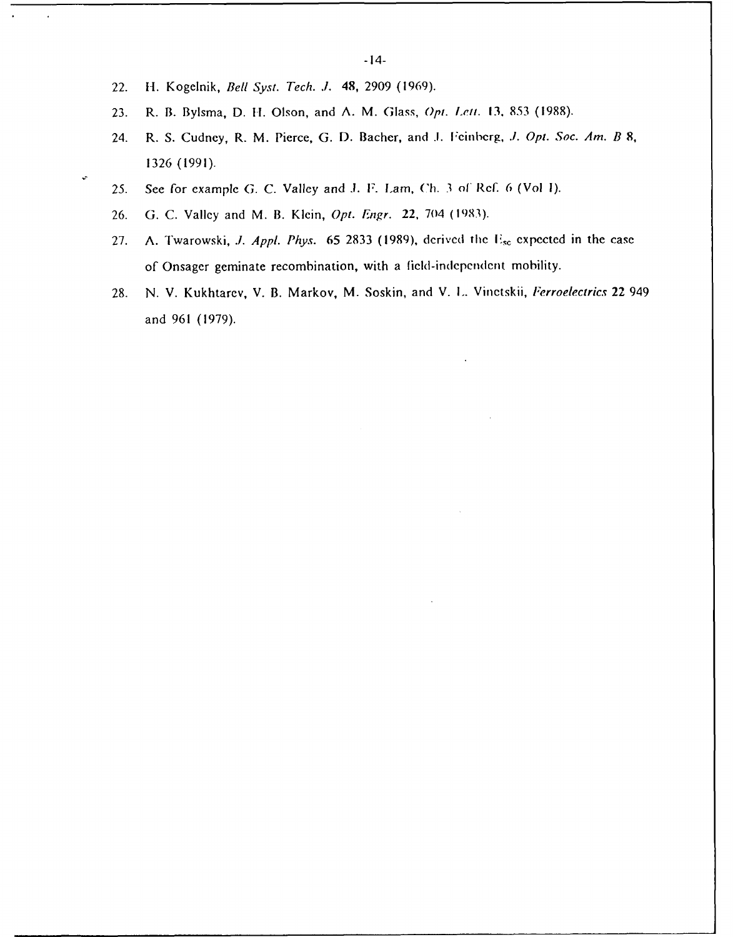22. H-. Kogelnik, *Bell Syst. Tech. .1.* 48, **2909 (1969).**

 $\ddot{\phantom{a}}$ 

- 23. R. B. Bylsma, D. H. Olson, and A. M. Glass, *Opt. Lett.* **13**, 853 (1988).
- 24. R. **S.** Cudney, R. M. Pierce, **G. D.** Bacher, and **.1.** Fecinberg, *.1.* Opt. *Soc. Am. B. 8,* **1326 (1991).**
- **25. See** for example **G. C.** Valley and **.1.** *F. Lam,* (Ch. **3** of' RcF. 6 (Vol **1).**
- **26. G. C.** Valley and M. B. Klein, *Opt. Engr.* 22, 704 **(1983).**
- **27. A.** Twarowski, *.1. AppI. Phys.* **65 2833 (1989),** dcrivcd thc **F,~** expected in the case of Onsager geminate recombination, with a ficld-indepcndenit mobility.
- **28. N.** V. Kukhtarev, V. B. Markov, M. Soskin, and V. **L..** Vinetskii, *Ferroelectrics* 22 949 and **961 (1979).**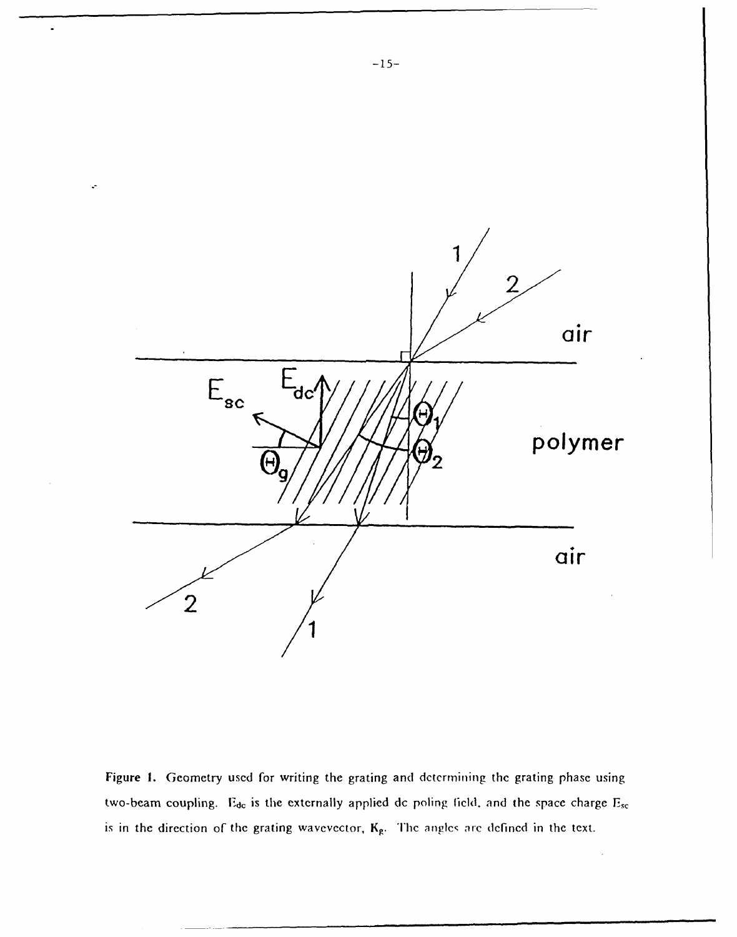

Figure **1.** Geometry used for writing the grating and **determining** the grating phase using two-beam coupling. E<sub>de</sub> is the externally applied dc poling field, and the space charge E<sub>sc</sub> is in the direction of the grating wavevector,  $K_g$ . The angles are defined in the text.